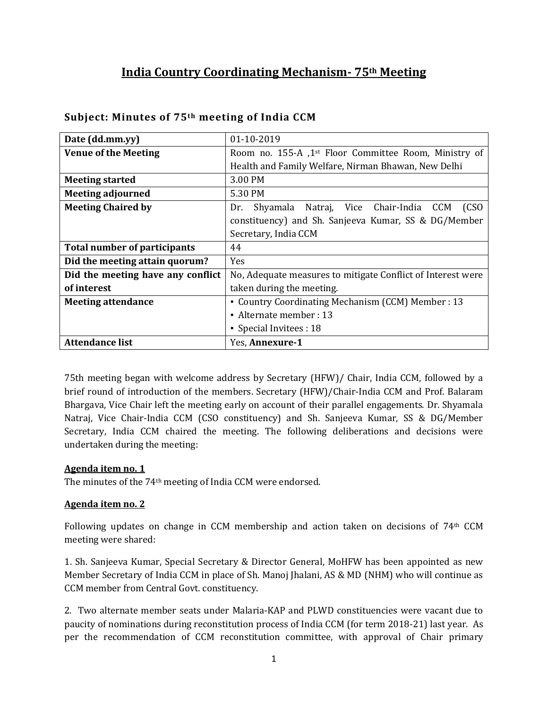# **India Country Coordinating Mechanism- 75th Meeting**

| Date (dd.mm.yy)                     | 01-10-2019                                                        |  |
|-------------------------------------|-------------------------------------------------------------------|--|
| <b>Venue of the Meeting</b>         | Room no. 155-A ,1 <sup>st</sup> Floor Committee Room, Ministry of |  |
|                                     | Health and Family Welfare, Nirman Bhawan, New Delhi               |  |
| <b>Meeting started</b>              | 3.00 PM                                                           |  |
| <b>Meeting adjourned</b>            | 5.30 PM                                                           |  |
| <b>Meeting Chaired by</b>           | Shyamala Natraj, Vice Chair-India CCM<br>(CSO)<br>Dr.             |  |
|                                     | constituency) and Sh. Sanjeeva Kumar, SS & DG/Member              |  |
|                                     | Secretary, India CCM                                              |  |
| <b>Total number of participants</b> | 44                                                                |  |
| Did the meeting attain quorum?      | <b>Yes</b>                                                        |  |
| Did the meeting have any conflict   | No, Adequate measures to mitigate Conflict of Interest were       |  |
| of interest                         | taken during the meeting.                                         |  |
| <b>Meeting attendance</b>           | • Country Coordinating Mechanism (CCM) Member : 13                |  |
|                                     | • Alternate member : $13$                                         |  |
|                                     | • Special Invitees : 18                                           |  |
| <b>Attendance list</b>              | Yes, Annexure-1                                                   |  |

#### **Subject: Minutes of 75th meeting of India CCM**

75th meeting began with welcome address by Secretary (HFW)/ Chair, India CCM, followed by a brief round of introduction of the members. Secretary (HFW)/Chair-India CCM and Prof. Balaram Bhargava, Vice Chair left the meeting early on account of their parallel engagements. Dr. Shyamala Natraj, Vice Chair-India CCM (CSO constituency) and Sh. Sanjeeva Kumar, SS & DG/Member Secretary, India CCM chaired the meeting. The following deliberations and decisions were undertaken during the meeting:

#### **Agenda item no. 1**

The minutes of the 74th meeting of India CCM were endorsed.

#### **Agenda item no. 2**

Following updates on change in CCM membership and action taken on decisions of 74th CCM meeting were shared:

1. Sh. Sanjeeva Kumar, Special Secretary & Director General, MoHFW has been appointed as new Member Secretary of India CCM in place of Sh. Manoj Jhalani, AS & MD (NHM) who will continue as CCM member from Central Govt. constituency.

2. Two alternate member seats under Malaria-KAP and PLWD constituencies were vacant due to paucity of nominations during reconstitution process of India CCM (for term 2018-21) last year. As per the recommendation of CCM reconstitution committee, with approval of Chair primary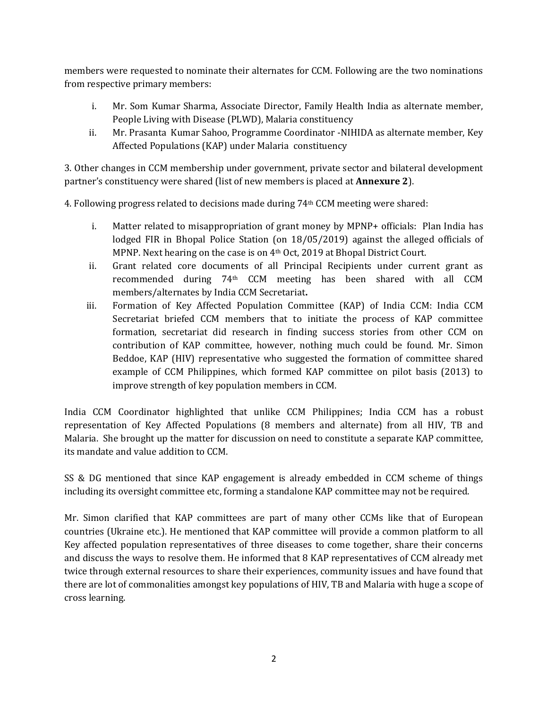members were requested to nominate their alternates for CCM. Following are the two nominations from respective primary members:

- i. Mr. Som Kumar Sharma, Associate Director, Family Health India as alternate member, People Living with Disease (PLWD), Malaria constituency
- ii. Mr. Prasanta Kumar Sahoo, Programme Coordinator -NIHIDA as alternate member, Key Affected Populations (KAP) under Malaria constituency

3. Other changes in CCM membership under government, private sector and bilateral development partner's constituency were shared (list of new members is placed at **Annexure 2**).

4. Following progress related to decisions made during 74th CCM meeting were shared:

- i. Matter related to misappropriation of grant money by MPNP+ officials: Plan India has lodged FIR in Bhopal Police Station (on 18/05/2019) against the alleged officials of MPNP. Next hearing on the case is on 4th Oct, 2019 at Bhopal District Court.
- ii. Grant related core documents of all Principal Recipients under current grant as recommended during 74th CCM meeting has been shared with all CCM members/alternates by India CCM Secretariat**.**
- iii. Formation of Key Affected Population Committee (KAP) of India CCM: India CCM Secretariat briefed CCM members that to initiate the process of KAP committee formation, secretariat did research in finding success stories from other CCM on contribution of KAP committee, however, nothing much could be found. Mr. Simon Beddoe, KAP (HIV) representative who suggested the formation of committee shared example of CCM Philippines, which formed KAP committee on pilot basis (2013) to improve strength of key population members in CCM.

India CCM Coordinator highlighted that unlike CCM Philippines; India CCM has a robust representation of Key Affected Populations (8 members and alternate) from all HIV, TB and Malaria. She brought up the matter for discussion on need to constitute a separate KAP committee, its mandate and value addition to CCM.

SS & DG mentioned that since KAP engagement is already embedded in CCM scheme of things including its oversight committee etc, forming a standalone KAP committee may not be required.

Mr. Simon clarified that KAP committees are part of many other CCMs like that of European countries (Ukraine etc.). He mentioned that KAP committee will provide a common platform to all Key affected population representatives of three diseases to come together, share their concerns and discuss the ways to resolve them. He informed that 8 KAP representatives of CCM already met twice through external resources to share their experiences, community issues and have found that there are lot of commonalities amongst key populations of HIV, TB and Malaria with huge a scope of cross learning.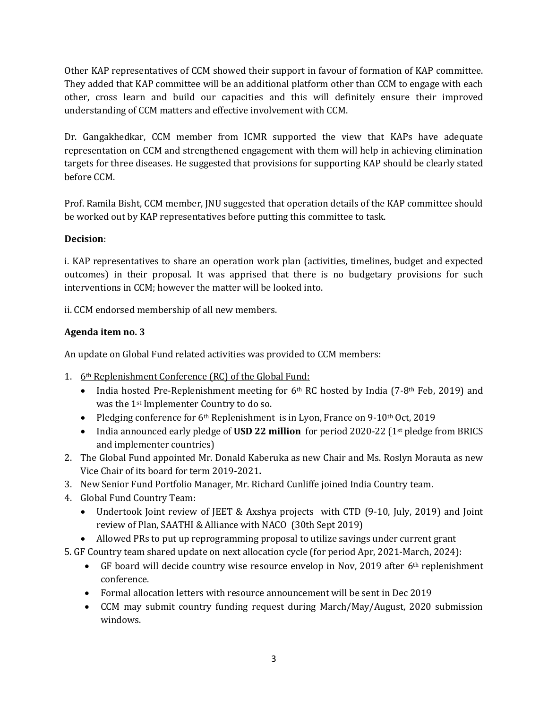Other KAP representatives of CCM showed their support in favour of formation of KAP committee. They added that KAP committee will be an additional platform other than CCM to engage with each other, cross learn and build our capacities and this will definitely ensure their improved understanding of CCM matters and effective involvement with CCM.

Dr. Gangakhedkar, CCM member from ICMR supported the view that KAPs have adequate representation on CCM and strengthened engagement with them will help in achieving elimination targets for three diseases. He suggested that provisions for supporting KAP should be clearly stated before CCM.

Prof. Ramila Bisht, CCM member, JNU suggested that operation details of the KAP committee should be worked out by KAP representatives before putting this committee to task.

## **Decision**:

i. KAP representatives to share an operation work plan (activities, timelines, budget and expected outcomes) in their proposal. It was apprised that there is no budgetary provisions for such interventions in CCM; however the matter will be looked into.

ii. CCM endorsed membership of all new members.

## **Agenda item no. 3**

An update on Global Fund related activities was provided to CCM members:

- 1. 6<sup>th</sup> Replenishment Conference (RC) of the Global Fund:
	- India hosted Pre-Replenishment meeting for  $6<sup>th</sup>$  RC hosted by India (7-8<sup>th</sup> Feb, 2019) and was the 1st Implementer Country to do so.
	- Pledging conference for  $6<sup>th</sup>$  Replenishment is in Lyon, France on 9-10<sup>th</sup> Oct, 2019
	- India announced early pledge of **USD 22 million** for period 2020-22 (1<sup>st</sup> pledge from BRICS and implementer countries)
- 2. The Global Fund appointed Mr. Donald Kaberuka as new Chair and Ms. Roslyn Morauta as new Vice Chair of its board for term 2019-2021**.**
- 3. New Senior Fund Portfolio Manager, Mr. Richard Cunliffe joined India Country team.
- 4. Global Fund Country Team:
	- Undertook Joint review of JEET & Axshya projects with CTD (9-10, July, 2019) and Joint review of Plan, SAATHI & Alliance with NACO (30th Sept 2019)
	- Allowed PRs to put up reprogramming proposal to utilize savings under current grant
- 5. GF Country team shared update on next allocation cycle (for period Apr, 2021-March, 2024):
	- GF board will decide country wise resource envelop in Nov, 2019 after 6<sup>th</sup> replenishment conference.
	- Formal allocation letters with resource announcement will be sent in Dec 2019
	- CCM may submit country funding request during March/May/August, 2020 submission windows.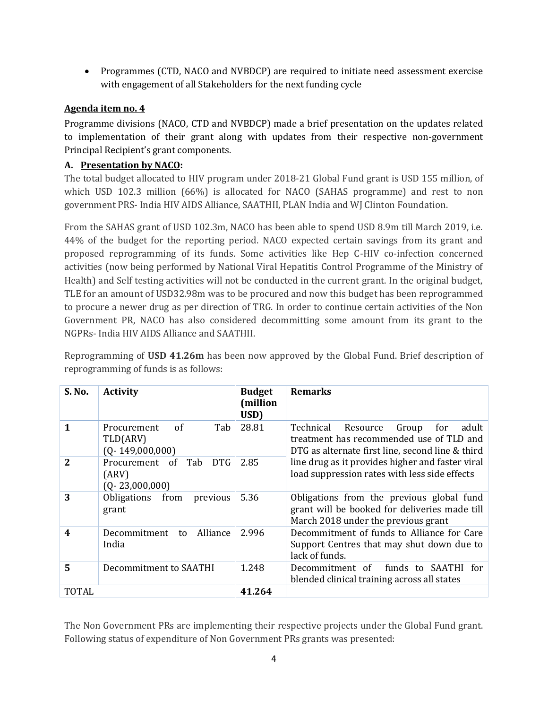• Programmes (CTD, NACO and NVBDCP) are required to initiate need assessment exercise with engagement of all Stakeholders for the next funding cycle

## **Agenda item no. 4**

Programme divisions (NACO, CTD and NVBDCP) made a brief presentation on the updates related to implementation of their grant along with updates from their respective non-government Principal Recipient's grant components.

## **A. Presentation by NACO:**

The total budget allocated to HIV program under 2018-21 Global Fund grant is USD 155 million, of which USD 102.3 million (66%) is allocated for NACO (SAHAS programme) and rest to non government PRS- India HIV AIDS Alliance, SAATHII, PLAN India and WJ Clinton Foundation.

From the SAHAS grant of USD 102.3m, NACO has been able to spend USD 8.9m till March 2019, i.e. 44% of the budget for the reporting period. NACO expected certain savings from its grant and proposed reprogramming of its funds. Some activities like Hep C-HIV co-infection concerned activities (now being performed by National Viral Hepatitis Control Programme of the Ministry of Health) and Self testing activities will not be conducted in the current grant. In the original budget, TLE for an amount of USD32.98m was to be procured and now this budget has been reprogrammed to procure a newer drug as per direction of TRG. In order to continue certain activities of the Non Government PR, NACO has also considered decommitting some amount from its grant to the NGPRs- India HIV AIDS Alliance and SAATHII.

Reprogramming of **USD 41.26m** has been now approved by the Global Fund. Brief description of reprogramming of funds is as follows:

| S. No.                  | <b>Activity</b>                                              | <b>Budget</b><br>(million<br>USD) | <b>Remarks</b>                                                                                                                                 |
|-------------------------|--------------------------------------------------------------|-----------------------------------|------------------------------------------------------------------------------------------------------------------------------------------------|
|                         | of<br>Tab<br>Procurement<br>TLD(ARV)<br>$(Q-149,000,000)$    | 28.81                             | Technical<br>adult<br>Group<br>Resource<br>for<br>treatment has recommended use of TLD and<br>DTG as alternate first line, second line & third |
| 2                       | Tab<br>DTG.<br>Procurement of<br>(ARV)<br>$(Q - 23,000,000)$ | 2.85                              | line drug as it provides higher and faster viral<br>load suppression rates with less side effects                                              |
| 3                       | Obligations<br>from<br>previous<br>grant                     | 5.36                              | Obligations from the previous global fund<br>grant will be booked for deliveries made till<br>March 2018 under the previous grant              |
| $\overline{\mathbf{4}}$ | Decommitment<br>Alliance<br>to<br>India                      | 2.996                             | Decommitment of funds to Alliance for Care<br>Support Centres that may shut down due to<br>lack of funds.                                      |
| 5                       | Decommitment to SAATHI                                       | 1.248                             | funds to SAATHI for<br>Decommitment of<br>blended clinical training across all states                                                          |
| TOTAL                   |                                                              | 41.264                            |                                                                                                                                                |

The Non Government PRs are implementing their respective projects under the Global Fund grant. Following status of expenditure of Non Government PRs grants was presented: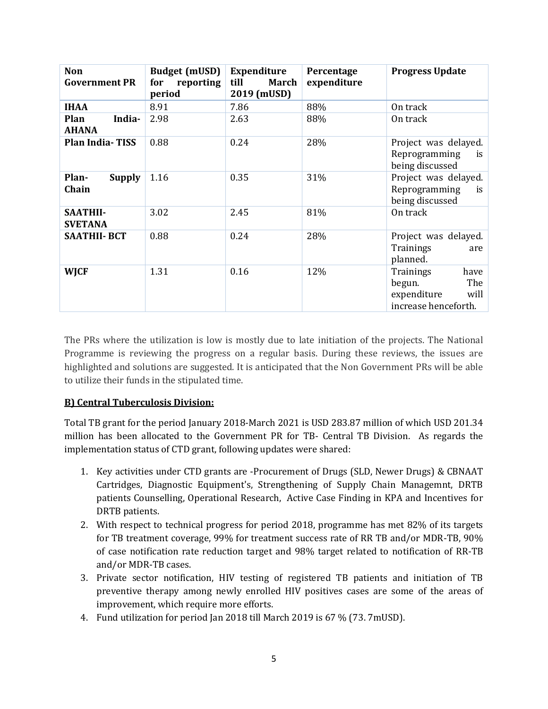| <b>Non</b><br><b>Government PR</b> | <b>Budget (mUSD)</b><br>reporting<br>for<br>period | <b>Expenditure</b><br>till<br>March<br>2019 (mUSD) | Percentage<br>expenditure | <b>Progress Update</b>                                                            |
|------------------------------------|----------------------------------------------------|----------------------------------------------------|---------------------------|-----------------------------------------------------------------------------------|
| <b>IHAA</b>                        | 8.91                                               | 7.86                                               | 88%                       | On track                                                                          |
| Plan<br>India-<br><b>AHANA</b>     | 2.98                                               | 2.63                                               | 88%                       | On track                                                                          |
| <b>Plan India-TISS</b>             | 0.88                                               | 0.24                                               | 28%                       | Project was delayed.<br>Reprogramming<br>is<br>being discussed                    |
| Plan-<br><b>Supply</b><br>Chain    | 1.16                                               | 0.35                                               | 31%                       | Project was delayed.<br>Reprogramming<br>is<br>being discussed                    |
| <b>SAATHII-</b><br><b>SVETANA</b>  | 3.02                                               | 2.45                                               | 81%                       | On track                                                                          |
| <b>SAATHII- BCT</b>                | 0.88                                               | 0.24                                               | 28%                       | Project was delayed.<br>Trainings<br>are<br>planned.                              |
| <b>WJCF</b>                        | 1.31                                               | 0.16                                               | 12%                       | have<br>Trainings<br>begun.<br>The<br>expenditure<br>will<br>increase henceforth. |

The PRs where the utilization is low is mostly due to late initiation of the projects. The National Programme is reviewing the progress on a regular basis. During these reviews, the issues are highlighted and solutions are suggested. It is anticipated that the Non Government PRs will be able to utilize their funds in the stipulated time.

#### **B) Central Tuberculosis Division:**

Total TB grant for the period January 2018-March 2021 is USD 283.87 million of which USD 201.34 million has been allocated to the Government PR for TB- Central TB Division. As regards the implementation status of CTD grant, following updates were shared:

- 1. Key activities under CTD grants are -Procurement of Drugs (SLD, Newer Drugs) & CBNAAT Cartridges, Diagnostic Equipment's, Strengthening of Supply Chain Managemnt, DRTB patients Counselling, Operational Research, Active Case Finding in KPA and Incentives for DRTB patients.
- 2. With respect to technical progress for period 2018, programme has met 82% of its targets for TB treatment coverage, 99% for treatment success rate of RR TB and/or MDR-TB, 90% of case notification rate reduction target and 98% target related to notification of RR-TB and/or MDR-TB cases.
- 3. Private sector notification, HIV testing of registered TB patients and initiation of TB preventive therapy among newly enrolled HIV positives cases are some of the areas of improvement, which require more efforts.
- 4. Fund utilization for period Jan 2018 till March 2019 is 67 % (73. 7mUSD).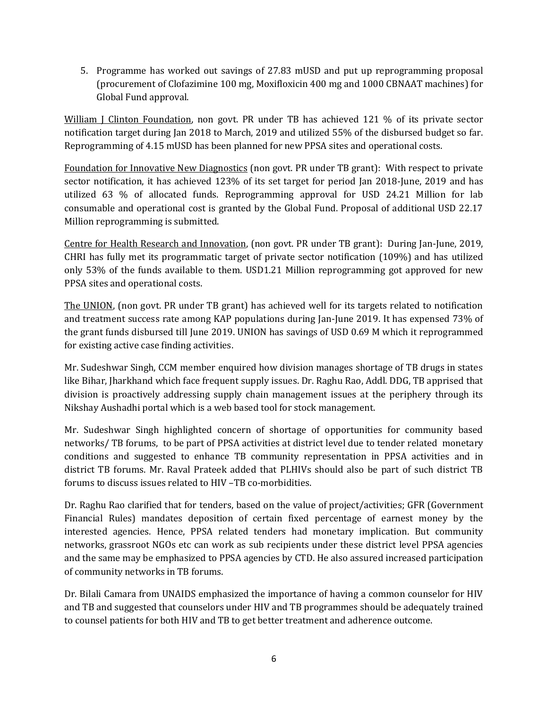5. Programme has worked out savings of 27.83 mUSD and put up reprogramming proposal (procurement of Clofazimine 100 mg, Moxifloxicin 400 mg and 1000 CBNAAT machines) for Global Fund approval.

William J Clinton Foundation, non govt. PR under TB has achieved 121 % of its private sector notification target during Jan 2018 to March, 2019 and utilized 55% of the disbursed budget so far. Reprogramming of 4.15 mUSD has been planned for new PPSA sites and operational costs.

Foundation for Innovative New Diagnostics (non govt. PR under TB grant): With respect to private sector notification, it has achieved 123% of its set target for period Jan 2018-June, 2019 and has utilized 63 % of allocated funds. Reprogramming approval for USD 24.21 Million for lab consumable and operational cost is granted by the Global Fund. Proposal of additional USD 22.17 Million reprogramming is submitted.

Centre for Health Research and Innovation, (non govt. PR under TB grant): During Jan-June, 2019, CHRI has fully met its programmatic target of private sector notification (109%) and has utilized only 53% of the funds available to them. USD1.21 Million reprogramming got approved for new PPSA sites and operational costs.

The UNION, (non govt. PR under TB grant) has achieved well for its targets related to notification and treatment success rate among KAP populations during Jan-June 2019. It has expensed 73% of the grant funds disbursed till June 2019. UNION has savings of USD 0.69 M which it reprogrammed for existing active case finding activities.

Mr. Sudeshwar Singh, CCM member enquired how division manages shortage of TB drugs in states like Bihar, Jharkhand which face frequent supply issues. Dr. Raghu Rao, Addl. DDG, TB apprised that division is proactively addressing supply chain management issues at the periphery through its Nikshay Aushadhi portal which is a web based tool for stock management.

Mr. Sudeshwar Singh highlighted concern of shortage of opportunities for community based networks/ TB forums, to be part of PPSA activities at district level due to tender related monetary conditions and suggested to enhance TB community representation in PPSA activities and in district TB forums. Mr. Raval Prateek added that PLHIVs should also be part of such district TB forums to discuss issues related to HIV –TB co-morbidities.

Dr. Raghu Rao clarified that for tenders, based on the value of project/activities; GFR (Government Financial Rules) mandates deposition of certain fixed percentage of earnest money by the interested agencies. Hence, PPSA related tenders had monetary implication. But community networks, grassroot NGOs etc can work as sub recipients under these district level PPSA agencies and the same may be emphasized to PPSA agencies by CTD. He also assured increased participation of community networks in TB forums.

Dr. Bilali Camara from UNAIDS emphasized the importance of having a common counselor for HIV and TB and suggested that counselors under HIV and TB programmes should be adequately trained to counsel patients for both HIV and TB to get better treatment and adherence outcome.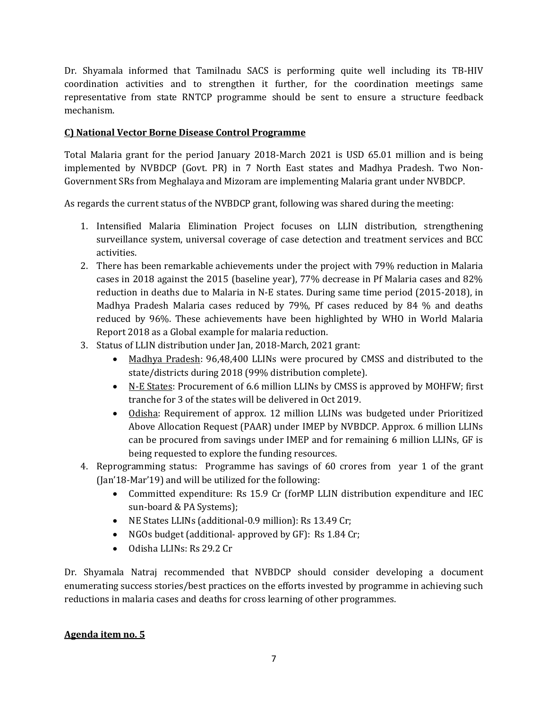Dr. Shyamala informed that Tamilnadu SACS is performing quite well including its TB-HIV coordination activities and to strengthen it further, for the coordination meetings same representative from state RNTCP programme should be sent to ensure a structure feedback mechanism.

#### **C) National Vector Borne Disease Control Programme**

Total Malaria grant for the period January 2018-March 2021 is USD 65.01 million and is being implemented by NVBDCP (Govt. PR) in 7 North East states and Madhya Pradesh. Two Non-Government SRs from Meghalaya and Mizoram are implementing Malaria grant under NVBDCP.

As regards the current status of the NVBDCP grant, following was shared during the meeting:

- 1. Intensified Malaria Elimination Project focuses on LLIN distribution, strengthening surveillance system, universal coverage of case detection and treatment services and BCC activities.
- 2. There has been remarkable achievements under the project with 79% reduction in Malaria cases in 2018 against the 2015 (baseline year), 77% decrease in Pf Malaria cases and 82% reduction in deaths due to Malaria in N-E states. During same time period (2015-2018), in Madhya Pradesh Malaria cases reduced by 79%, Pf cases reduced by 84 % and deaths reduced by 96%. These achievements have been highlighted by WHO in World Malaria Report 2018 as a Global example for malaria reduction.
- 3. Status of LLIN distribution under Jan, 2018-March, 2021 grant:
	- Madhya Pradesh: 96,48,400 LLINs were procured by CMSS and distributed to the state/districts during 2018 (99% distribution complete).
	- N-E States: Procurement of 6.6 million LLINs by CMSS is approved by MOHFW; first tranche for 3 of the states will be delivered in Oct 2019.
	- Odisha: Requirement of approx. 12 million LLINs was budgeted under Prioritized Above Allocation Request (PAAR) under IMEP by NVBDCP. Approx. 6 million LLINs can be procured from savings under IMEP and for remaining 6 million LLINs, GF is being requested to explore the funding resources.
- 4. Reprogramming status: Programme has savings of 60 crores from year 1 of the grant (Jan'18-Mar'19) and will be utilized for the following:
	- Committed expenditure: Rs 15.9 Cr (forMP LLIN distribution expenditure and IEC sun-board & PA Systems);
	- NE States LLINs (additional-0.9 million): Rs 13.49 Cr;
	- NGOs budget (additional-approved by GF): Rs 1.84 Cr;
	- Odisha LLINs: Rs 29.2 Cr

Dr. Shyamala Natraj recommended that NVBDCP should consider developing a document enumerating success stories/best practices on the efforts invested by programme in achieving such reductions in malaria cases and deaths for cross learning of other programmes.

#### **Agenda item no. 5**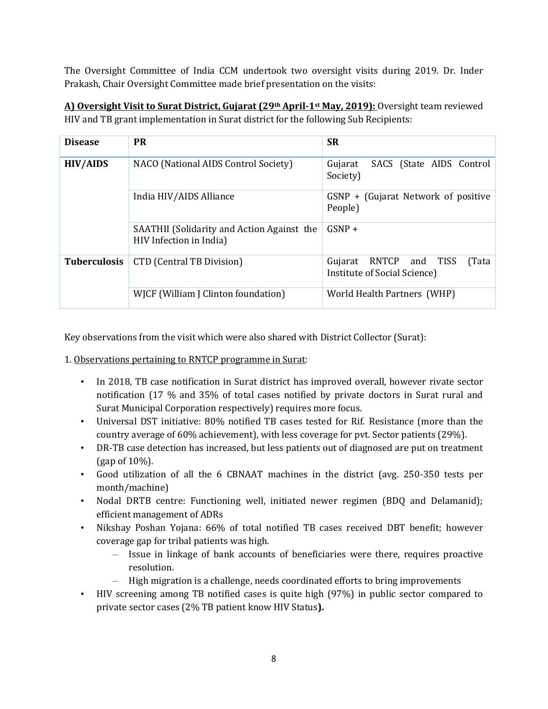The Oversight Committee of India CCM undertook two oversight visits during 2019. Dr. Inder Prakash, Chair Oversight Committee made brief presentation on the visits:

| <b>Disease</b>      | <b>PR</b>                                                             | <b>SR</b>                                                          |
|---------------------|-----------------------------------------------------------------------|--------------------------------------------------------------------|
| <b>HIV/AIDS</b>     | NACO (National AIDS Control Society)                                  | SACS (State AIDS Control<br>Gujarat<br>Society)                    |
|                     | India HIV/AIDS Alliance                                               | GSNP + (Gujarat Network of positive<br>People)                     |
|                     | SAATHII (Solidarity and Action Against the<br>HIV Infection in India) | $GSNP +$                                                           |
| <b>Tuberculosis</b> | CTD (Central TB Division)                                             | RNTCP and TISS<br>Gujarat<br>(Tata<br>Institute of Social Science) |
|                     | WJCF (William J Clinton foundation)                                   | World Health Partners (WHP)                                        |

**A) Oversight Visit to Surat District, Gujarat (29th April-1st May, 2019):** Oversight team reviewed HIV and TB grant implementation in Surat district for the following Sub Recipients:

Key observations from the visit which were also shared with District Collector (Surat):

1. Observations pertaining to RNTCP programme in Surat:

- In 2018, TB case notification in Surat district has improved overall, however rivate sector notification (17 % and 35% of total cases notified by private doctors in Surat rural and Surat Municipal Corporation respectively) requires more focus.
- Universal DST initiative: 80% notified TB cases tested for Rif. Resistance (more than the country average of 60% achievement), with less coverage for pvt. Sector patients (29%).
- DR-TB case detection has increased, but less patients out of diagnosed are put on treatment (gap of 10%).
- Good utilization of all the 6 CBNAAT machines in the district (avg. 250-350 tests per month/machine)
- Nodal DRTB centre: Functioning well, initiated newer regimen (BDQ and Delamanid); efficient management of ADRs
- Nikshay Poshan Yojana: 66% of total notified TB cases received DBT benefit; however coverage gap for tribal patients was high.
	- Issue in linkage of bank accounts of beneficiaries were there, requires proactive resolution.
	- High migration is a challenge, needs coordinated efforts to bring improvements
- HIV screening among TB notified cases is quite high (97%) in public sector compared to private sector cases (2% TB patient know HIV Status**).**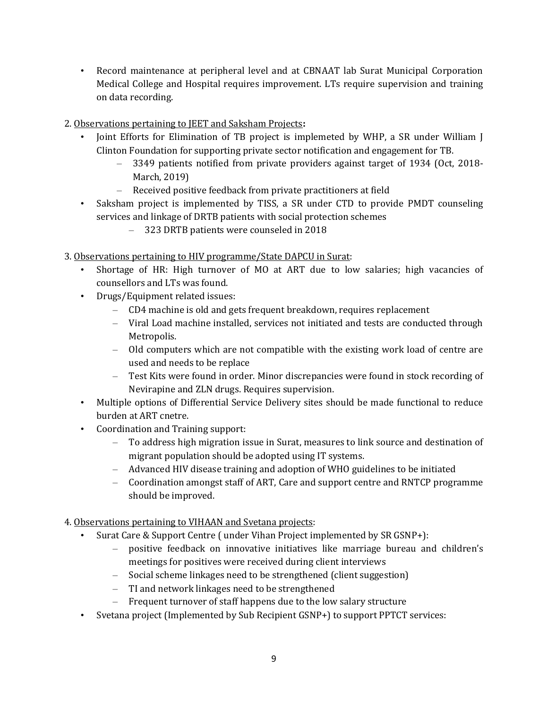- Record maintenance at peripheral level and at CBNAAT lab Surat Municipal Corporation Medical College and Hospital requires improvement. LTs require supervision and training on data recording.
- 2. Observations pertaining to JEET and Saksham Projects**:** 
	- Joint Efforts for Elimination of TB project is implemeted by WHP, a SR under William J Clinton Foundation for supporting private sector notification and engagement for TB.
		- 3349 patients notified from private providers against target of 1934 (Oct, 2018- March, 2019)
		- Received positive feedback from private practitioners at field
	- Saksham project is implemented by TISS, a SR under CTD to provide PMDT counseling services and linkage of DRTB patients with social protection schemes
		- 323 DRTB patients were counseled in 2018
- 3. Observations pertaining to HIV programme/State DAPCU in Surat:
	- Shortage of HR: High turnover of MO at ART due to low salaries; high vacancies of counsellors and LTs was found.
	- Drugs/Equipment related issues:
		- CD4 machine is old and gets frequent breakdown, requires replacement
		- Viral Load machine installed, services not initiated and tests are conducted through Metropolis.
		- Old computers which are not compatible with the existing work load of centre are used and needs to be replace
		- Test Kits were found in order. Minor discrepancies were found in stock recording of Nevirapine and ZLN drugs. Requires supervision.
	- Multiple options of Differential Service Delivery sites should be made functional to reduce burden at ART cnetre.
	- Coordination and Training support:
		- To address high migration issue in Surat, measures to link source and destination of migrant population should be adopted using IT systems.
		- Advanced HIV disease training and adoption of WHO guidelines to be initiated
		- Coordination amongst staff of ART, Care and support centre and RNTCP programme should be improved.
- 4. Observations pertaining to VIHAAN and Svetana projects:
	- Surat Care & Support Centre ( under Vihan Project implemented by SR GSNP+):
		- positive feedback on innovative initiatives like marriage bureau and children's meetings for positives were received during client interviews
		- Social scheme linkages need to be strengthened (client suggestion)
		- TI and network linkages need to be strengthened
		- Frequent turnover of staff happens due to the low salary structure
	- Svetana project (Implemented by Sub Recipient GSNP+) to support PPTCT services: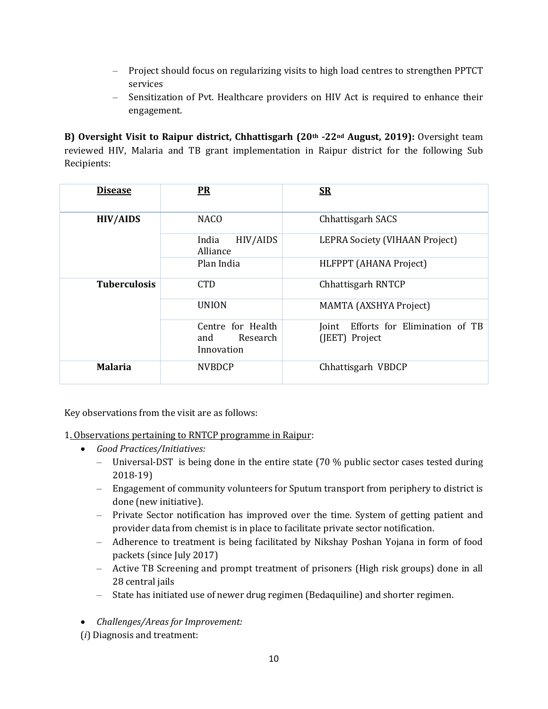- Project should focus on regularizing visits to high load centres to strengthen PPTCT services
- Sensitization of Pvt. Healthcare providers on HIV Act is required to enhance their engagement.

**B) Oversight Visit to Raipur district, Chhattisgarh (20th -22nd August, 2019):** Oversight team reviewed HIV, Malaria and TB grant implementation in Raipur district for the following Sub Recipients:

| <b>Disease</b>      | <b>PR</b>                                          | $S_{\rm R}$                                              |
|---------------------|----------------------------------------------------|----------------------------------------------------------|
| <b>HIV/AIDS</b>     | <b>NACO</b>                                        | Chhattisgarh SACS                                        |
|                     | HIV/AIDS<br>India<br>Alliance                      | LEPRA Society (VIHAAN Project)                           |
|                     | Plan India                                         | HLFPPT (AHANA Project)                                   |
| <b>Tuberculosis</b> | <b>CTD</b>                                         | Chhattisgarh RNTCP                                       |
|                     | <b>UNION</b>                                       | <b>MAMTA</b> (AXSHYA Project)                            |
|                     | Centre for Health<br>Research<br>and<br>Innovation | Efforts for Elimination of TB<br>Joint<br>(JEET) Project |
| <b>Malaria</b>      | <b>NVBDCP</b>                                      | Chhattisgarh VBDCP                                       |

Key observations from the visit are as follows:

1. Observations pertaining to RNTCP programme in Raipur:

- *Good Practices/Initiatives:*
	- Universal-DST is being done in the entire state  $(70\%$  public sector cases tested during 2018-19)
	- Engagement of community volunteers for Sputum transport from periphery to district is done (new initiative).
	- Private Sector notification has improved over the time. System of getting patient and provider data from chemist is in place to facilitate private sector notification.
	- Adherence to treatment is being facilitated by Nikshay Poshan Yojana in form of food packets (since July 2017)
	- Active TB Screening and prompt treatment of prisoners (High risk groups) done in all 28 central jails
	- State has initiated use of newer drug regimen (Bedaquiline) and shorter regimen.
- *Challenges/Areas for Improvement:*

(*i*) Diagnosis and treatment: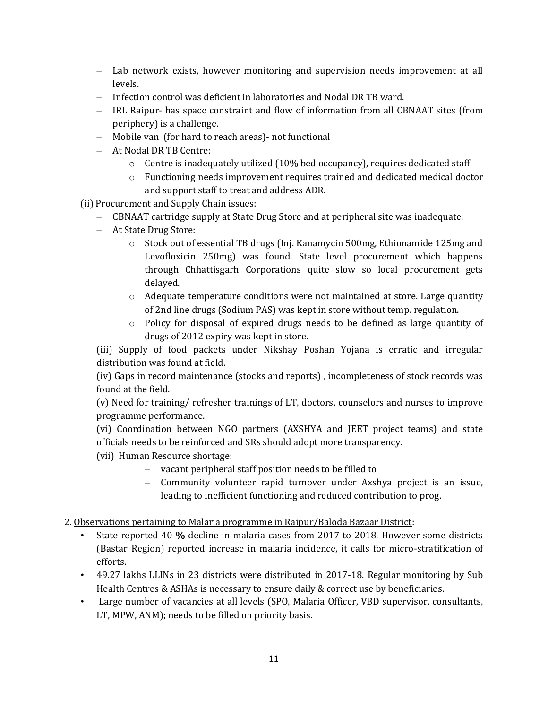- Lab network exists, however monitoring and supervision needs improvement at all levels.
- Infection control was deficient in laboratories and Nodal DR TB ward.
- IRL Raipur- has space constraint and flow of information from all CBNAAT sites (from periphery) is a challenge.
- Mobile van (for hard to reach areas)- not functional
- At Nodal DR TB Centre:
	- $\circ$  Centre is inadequately utilized (10% bed occupancy), requires dedicated staff
	- o Functioning needs improvement requires trained and dedicated medical doctor and support staff to treat and address ADR.
- (ii) Procurement and Supply Chain issues:
	- CBNAAT cartridge supply at State Drug Store and at peripheral site was inadequate.
	- At State Drug Store:
		- o Stock out of essential TB drugs (Inj. Kanamycin 500mg, Ethionamide 125mg and Levofloxicin 250mg) was found. State level procurement which happens through Chhattisgarh Corporations quite slow so local procurement gets delayed.
		- o Adequate temperature conditions were not maintained at store. Large quantity of 2nd line drugs (Sodium PAS) was kept in store without temp. regulation.
		- $\circ$  Policy for disposal of expired drugs needs to be defined as large quantity of drugs of 2012 expiry was kept in store.

(iii) Supply of food packets under Nikshay Poshan Yojana is erratic and irregular distribution was found at field.

(iv) Gaps in record maintenance (stocks and reports) , incompleteness of stock records was found at the field.

(v) Need for training/ refresher trainings of LT, doctors, counselors and nurses to improve programme performance.

(vi) Coordination between NGO partners (AXSHYA and JEET project teams) and state officials needs to be reinforced and SRs should adopt more transparency.

(vii) Human Resource shortage:

- vacant peripheral staff position needs to be filled to
- Community volunteer rapid turnover under Axshya project is an issue, leading to inefficient functioning and reduced contribution to prog.
- 2. Observations pertaining to Malaria programme in Raipur/Baloda Bazaar District:
	- State reported 40 **%** decline in malaria cases from 2017 to 2018. However some districts (Bastar Region) reported increase in malaria incidence, it calls for micro-stratification of efforts.
	- 49.27 lakhs LLINs in 23 districts were distributed in 2017-18. Regular monitoring by Sub Health Centres & ASHAs is necessary to ensure daily & correct use by beneficiaries.
	- Large number of vacancies at all levels (SPO, Malaria Officer, VBD supervisor, consultants, LT, MPW, ANM); needs to be filled on priority basis.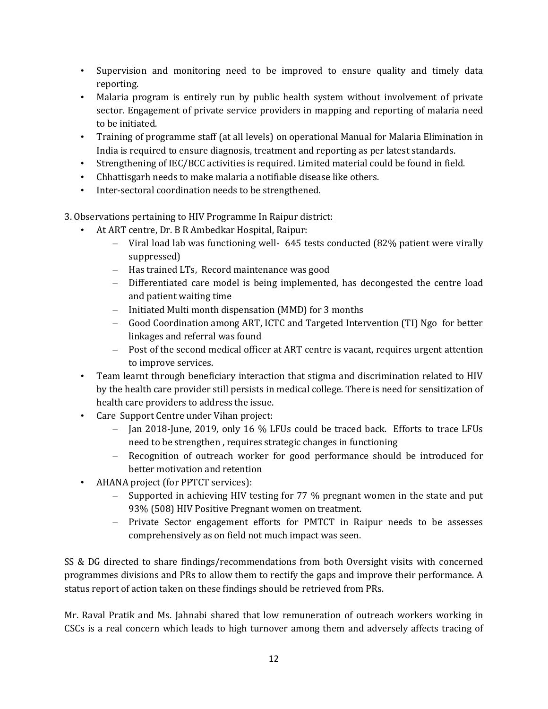- Supervision and monitoring need to be improved to ensure quality and timely data reporting.
- Malaria program is entirely run by public health system without involvement of private sector. Engagement of private service providers in mapping and reporting of malaria need to be initiated.
- Training of programme staff (at all levels) on operational Manual for Malaria Elimination in India is required to ensure diagnosis, treatment and reporting as per latest standards.
- Strengthening of IEC/BCC activities is required. Limited material could be found in field.
- Chhattisgarh needs to make malaria a notifiable disease like others.
- Inter-sectoral coordination needs to be strengthened.
- 3. Observations pertaining to HIV Programme In Raipur district:
	- At ART centre, Dr. B R Ambedkar Hospital, Raipur:
		- Viral load lab was functioning well- 645 tests conducted (82% patient were virally suppressed)
		- Has trained LTs, Record maintenance was good
		- Differentiated care model is being implemented, has decongested the centre load and patient waiting time
		- Initiated Multi month dispensation (MMD) for 3 months
		- Good Coordination among ART, ICTC and Targeted Intervention (TI) Ngo for better linkages and referral was found
		- Post of the second medical officer at ART centre is vacant, requires urgent attention to improve services.
	- Team learnt through beneficiary interaction that stigma and discrimination related to HIV by the health care provider still persists in medical college. There is need for sensitization of health care providers to address the issue.
	- Care Support Centre under Vihan project:
		- Jan 2018-June, 2019, only 16 % LFUs could be traced back. Efforts to trace LFUs need to be strengthen , requires strategic changes in functioning
		- Recognition of outreach worker for good performance should be introduced for better motivation and retention
	- AHANA project (for PPTCT services):
		- Supported in achieving HIV testing for 77 % pregnant women in the state and put 93% (508) HIV Positive Pregnant women on treatment.
		- Private Sector engagement efforts for PMTCT in Raipur needs to be assesses comprehensively as on field not much impact was seen.

SS & DG directed to share findings/recommendations from both Oversight visits with concerned programmes divisions and PRs to allow them to rectify the gaps and improve their performance. A status report of action taken on these findings should be retrieved from PRs.

Mr. Raval Pratik and Ms. Jahnabi shared that low remuneration of outreach workers working in CSCs is a real concern which leads to high turnover among them and adversely affects tracing of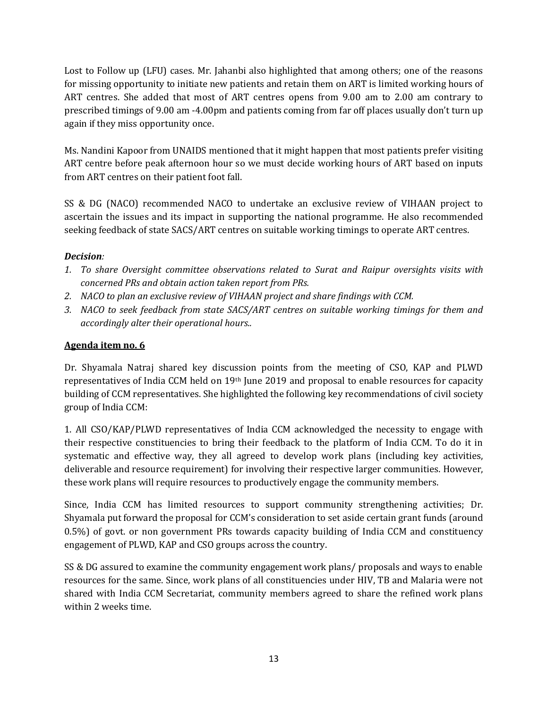Lost to Follow up (LFU) cases. Mr. Jahanbi also highlighted that among others; one of the reasons for missing opportunity to initiate new patients and retain them on ART is limited working hours of ART centres. She added that most of ART centres opens from 9.00 am to 2.00 am contrary to prescribed timings of 9.00 am -4.00pm and patients coming from far off places usually don't turn up again if they miss opportunity once.

Ms. Nandini Kapoor from UNAIDS mentioned that it might happen that most patients prefer visiting ART centre before peak afternoon hour so we must decide working hours of ART based on inputs from ART centres on their patient foot fall.

SS & DG (NACO) recommended NACO to undertake an exclusive review of VIHAAN project to ascertain the issues and its impact in supporting the national programme. He also recommended seeking feedback of state SACS/ART centres on suitable working timings to operate ART centres.

## *Decision:*

- *1. To share Oversight committee observations related to Surat and Raipur oversights visits with concerned PRs and obtain action taken report from PRs.*
- *2. NACO to plan an exclusive review of VIHAAN project and share findings with CCM.*
- *3. NACO to seek feedback from state SACS/ART centres on suitable working timings for them and accordingly alter their operational hours..*

## **Agenda item no. 6**

Dr. Shyamala Natraj shared key discussion points from the meeting of CSO, KAP and PLWD representatives of India CCM held on 19<sup>th</sup> June 2019 and proposal to enable resources for capacity building of CCM representatives. She highlighted the following key recommendations of civil society group of India CCM:

1. All CSO/KAP/PLWD representatives of India CCM acknowledged the necessity to engage with their respective constituencies to bring their feedback to the platform of India CCM. To do it in systematic and effective way, they all agreed to develop work plans (including key activities, deliverable and resource requirement) for involving their respective larger communities. However, these work plans will require resources to productively engage the community members.

Since, India CCM has limited resources to support community strengthening activities; Dr. Shyamala put forward the proposal for CCM's consideration to set aside certain grant funds (around 0.5%) of govt. or non government PRs towards capacity building of India CCM and constituency engagement of PLWD, KAP and CSO groups across the country.

SS & DG assured to examine the community engagement work plans/ proposals and ways to enable resources for the same. Since, work plans of all constituencies under HIV, TB and Malaria were not shared with India CCM Secretariat, community members agreed to share the refined work plans within 2 weeks time.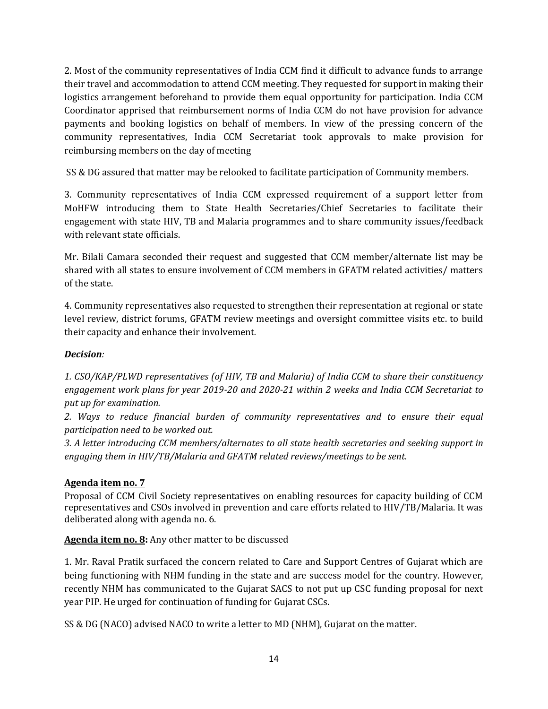2. Most of the community representatives of India CCM find it difficult to advance funds to arrange their travel and accommodation to attend CCM meeting. They requested for support in making their logistics arrangement beforehand to provide them equal opportunity for participation. India CCM Coordinator apprised that reimbursement norms of India CCM do not have provision for advance payments and booking logistics on behalf of members. In view of the pressing concern of the community representatives, India CCM Secretariat took approvals to make provision for reimbursing members on the day of meeting

SS & DG assured that matter may be relooked to facilitate participation of Community members.

3. Community representatives of India CCM expressed requirement of a support letter from MoHFW introducing them to State Health Secretaries/Chief Secretaries to facilitate their engagement with state HIV, TB and Malaria programmes and to share community issues/feedback with relevant state officials.

Mr. Bilali Camara seconded their request and suggested that CCM member/alternate list may be shared with all states to ensure involvement of CCM members in GFATM related activities/ matters of the state.

4. Community representatives also requested to strengthen their representation at regional or state level review, district forums, GFATM review meetings and oversight committee visits etc. to build their capacity and enhance their involvement*.*

## *Decision:*

*1. CSO/KAP/PLWD representatives (of HIV, TB and Malaria) of India CCM to share their constituency engagement work plans for year 2019-20 and 2020-21 within 2 weeks and India CCM Secretariat to put up for examination.*

*2. Ways to reduce financial burden of community representatives and to ensure their equal participation need to be worked out.*

*3. A letter introducing CCM members/alternates to all state health secretaries and seeking support in engaging them in HIV/TB/Malaria and GFATM related reviews/meetings to be sent.*

#### **Agenda item no. 7**

Proposal of CCM Civil Society representatives on enabling resources for capacity building of CCM representatives and CSOs involved in prevention and care efforts related to HIV/TB/Malaria. It was deliberated along with agenda no. 6.

**Agenda item no. 8:** Any other matter to be discussed

1. Mr. Raval Pratik surfaced the concern related to Care and Support Centres of Gujarat which are being functioning with NHM funding in the state and are success model for the country. However, recently NHM has communicated to the Gujarat SACS to not put up CSC funding proposal for next year PIP. He urged for continuation of funding for Gujarat CSCs.

SS & DG (NACO) advised NACO to write a letter to MD (NHM), Gujarat on the matter.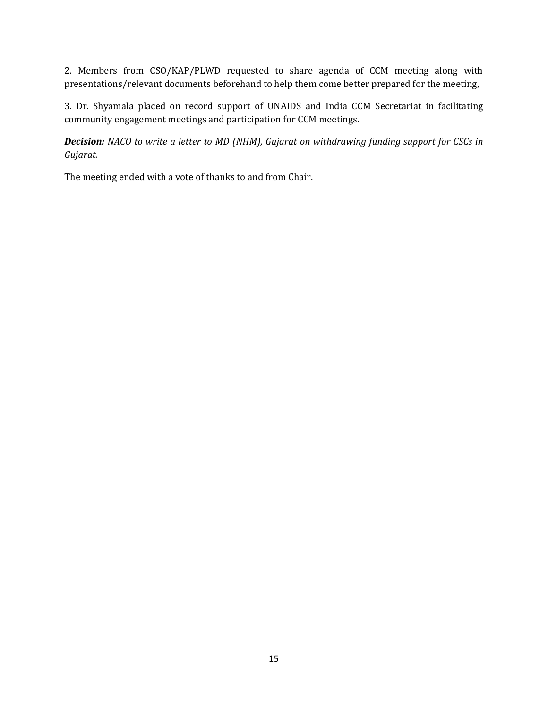2. Members from CSO/KAP/PLWD requested to share agenda of CCM meeting along with presentations/relevant documents beforehand to help them come better prepared for the meeting,

3. Dr. Shyamala placed on record support of UNAIDS and India CCM Secretariat in facilitating community engagement meetings and participation for CCM meetings.

*Decision: NACO to write a letter to MD (NHM), Gujarat on withdrawing funding support for CSCs in Gujarat.*

The meeting ended with a vote of thanks to and from Chair.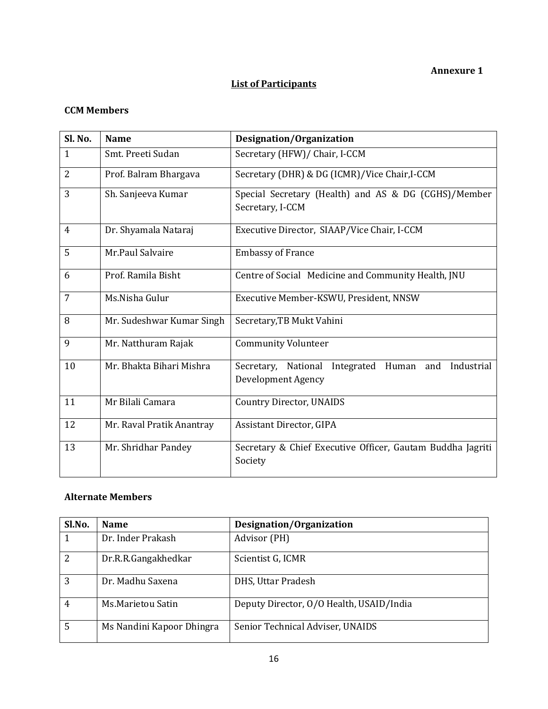### **List of Participants**

#### **CCM Members**

| Sl. No.        | <b>Name</b>               | Designation/Organization                                                        |  |
|----------------|---------------------------|---------------------------------------------------------------------------------|--|
| $\mathbf{1}$   | Smt. Preeti Sudan         | Secretary (HFW)/ Chair, I-CCM                                                   |  |
| $\overline{2}$ | Prof. Balram Bhargava     | Secretary (DHR) & DG (ICMR)/Vice Chair, I-CCM                                   |  |
| 3              | Sh. Sanjeeva Kumar        | Special Secretary (Health) and AS & DG (CGHS)/Member<br>Secretary, I-CCM        |  |
| 4              | Dr. Shyamala Nataraj      | Executive Director, SIAAP/Vice Chair, I-CCM                                     |  |
| 5              | Mr.Paul Salvaire          | <b>Embassy of France</b>                                                        |  |
| 6              | Prof. Ramila Bisht        | Centre of Social Medicine and Community Health, JNU                             |  |
| 7              | Ms.Nisha Gulur            | Executive Member-KSWU, President, NNSW                                          |  |
| 8              | Mr. Sudeshwar Kumar Singh | Secretary, TB Mukt Vahini                                                       |  |
| 9              | Mr. Natthuram Rajak       | <b>Community Volunteer</b>                                                      |  |
| 10             | Mr. Bhakta Bihari Mishra  | Integrated Human and<br>Industrial<br>Secretary, National<br>Development Agency |  |
| 11             | Mr Bilali Camara          | <b>Country Director, UNAIDS</b>                                                 |  |
| 12             | Mr. Raval Pratik Anantray | Assistant Director, GIPA                                                        |  |
| 13             | Mr. Shridhar Pandey       | Secretary & Chief Executive Officer, Gautam Buddha Jagriti<br>Society           |  |

### **Alternate Members**

| Sl.No.         | <b>Name</b>               | Designation/Organization                 |
|----------------|---------------------------|------------------------------------------|
| 1              | Dr. Inder Prakash         | Advisor (PH)                             |
| 2              | Dr.R.R.Gangakhedkar       | Scientist G, ICMR                        |
| $\overline{3}$ | Dr. Madhu Saxena          | DHS, Uttar Pradesh                       |
| $\overline{4}$ | Ms.Marietou Satin         | Deputy Director, 0/0 Health, USAID/India |
| 5              | Ms Nandini Kapoor Dhingra | Senior Technical Adviser, UNAIDS         |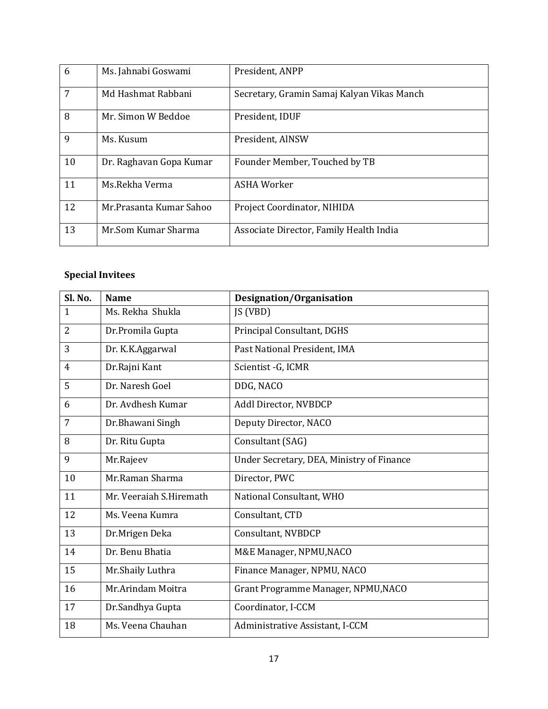| 6  | Ms. Jahnabi Goswami     | President, ANPP                            |
|----|-------------------------|--------------------------------------------|
| 7  | Md Hashmat Rabbani      | Secretary, Gramin Samaj Kalyan Vikas Manch |
| 8  | Mr. Simon W Beddoe      | President, IDUF                            |
| 9  | Ms. Kusum               | President, AINSW                           |
| 10 | Dr. Raghavan Gopa Kumar | Founder Member, Touched by TB              |
| 11 | Ms.Rekha Verma          | ASHA Worker                                |
| 12 | Mr.Prasanta Kumar Sahoo | Project Coordinator, NIHIDA                |
| 13 | Mr.Som Kumar Sharma     | Associate Director, Family Health India    |

# **Special Invitees**

| Sl. No.        | <b>Name</b>             | <b>Designation/Organisation</b>           |
|----------------|-------------------------|-------------------------------------------|
| $\mathbf{1}$   | Ms. Rekha Shukla        | JS (VBD)                                  |
| $\overline{2}$ | Dr.Promila Gupta        | Principal Consultant, DGHS                |
| 3              | Dr. K.K.Aggarwal        | Past National President, IMA              |
| $\overline{4}$ | Dr.Rajni Kant           | Scientist - G, ICMR                       |
| 5              | Dr. Naresh Goel         | DDG, NACO                                 |
| 6              | Dr. Avdhesh Kumar       | Addl Director, NVBDCP                     |
| $\overline{7}$ | Dr.Bhawani Singh        | Deputy Director, NACO                     |
| 8              | Dr. Ritu Gupta          | Consultant (SAG)                          |
| 9              | Mr.Rajeev               | Under Secretary, DEA, Ministry of Finance |
| 10             | Mr.Raman Sharma         | Director, PWC                             |
| 11             | Mr. Veeraiah S.Hiremath | National Consultant, WHO                  |
| 12             | Ms. Veena Kumra         | Consultant, CTD                           |
| 13             | Dr.Mrigen Deka          | Consultant, NVBDCP                        |
| 14             | Dr. Benu Bhatia         | M&E Manager, NPMU, NACO                   |
| 15             | Mr.Shaily Luthra        | Finance Manager, NPMU, NACO               |
| 16             | Mr.Arindam Moitra       | Grant Programme Manager, NPMU, NACO       |
| 17             | Dr.Sandhya Gupta        | Coordinator, I-CCM                        |
| 18             | Ms. Veena Chauhan       | Administrative Assistant, I-CCM           |